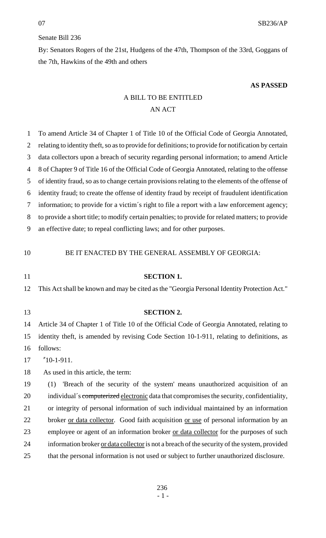## Senate Bill 236

By: Senators Rogers of the 21st, Hudgens of the 47th, Thompson of the 33rd, Goggans of the 7th, Hawkins of the 49th and others

## **AS PASSED**

## A BILL TO BE ENTITLED AN ACT

| 1              | To amend Article 34 of Chapter 1 of Title 10 of the Official Code of Georgia Annotated,              |
|----------------|------------------------------------------------------------------------------------------------------|
| $\overline{2}$ | relating to identity theft, so as to provide for definitions; to provide for notification by certain |
| 3              | data collectors upon a breach of security regarding personal information; to amend Article           |
| 4              | 8 of Chapter 9 of Title 16 of the Official Code of Georgia Annotated, relating to the offense        |
| 5              | of identity fraud, so as to change certain provisions relating to the elements of the offense of     |
| 6              | identity fraud; to create the offense of identity fraud by receipt of fraudulent identification      |
| 7              | information; to provide for a victim's right to file a report with a law enforcement agency;         |
| 8              | to provide a short title; to modify certain penalties; to provide for related matters; to provide    |
| 9              | an effective date; to repeal conflicting laws; and for other purposes.                               |
|                |                                                                                                      |
| 10             | BE IT ENACTED BY THE GENERAL ASSEMBLY OF GEORGIA:                                                    |
| 11             | <b>SECTION 1.</b>                                                                                    |
| 12             | This Act shall be known and may be cited as the "Georgia Personal Identity Protection Act."          |
|                |                                                                                                      |
|                |                                                                                                      |
| 13             | <b>SECTION 2.</b>                                                                                    |
| 14             | Article 34 of Chapter 1 of Title 10 of the Official Code of Georgia Annotated, relating to           |
| 15             | identity theft, is amended by revising Code Section 10-1-911, relating to definitions, as            |
| 16             | follows:                                                                                             |
| 17             | $"10-1-911.$                                                                                         |
| 18             | As used in this article, the term:                                                                   |
| 19             | 'Breach of the security of the system' means unauthorized acquisition of an<br>(1)                   |
| 20             | individual's computerized electronic data that compromises the security, confidentiality,            |
| 21             | or integrity of personal information of such individual maintained by an information                 |
| 22             | broker or data collector. Good faith acquisition or use of personal information by an                |
| 23             | employee or agent of an information broker or data collector for the purposes of such                |
| 24             | information broker <u>or data collector</u> is not a breach of the security of the system, provided  |
| 25             | that the personal information is not used or subject to further unauthorized disclosure.             |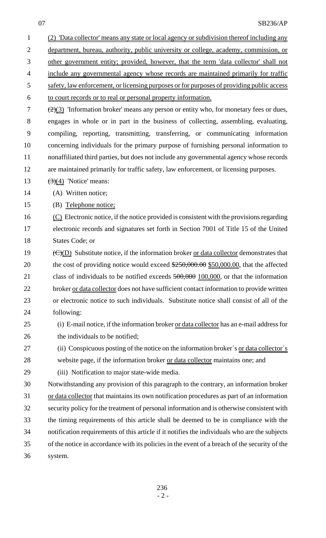| $\mathbf{1}$   | (2) 'Data collector' means any state or local agency or subdivision thereof including any                   |
|----------------|-------------------------------------------------------------------------------------------------------------|
| $\overline{2}$ | department, bureau, authority, public university or college, academy, commission, or                        |
| 3              | other government entity; provided, however, that the term 'data collector' shall not                        |
| $\overline{4}$ | include any governmental agency whose records are maintained primarily for traffic                          |
| 5              | safety, law enforcement, or licensing purposes or for purposes of providing public access                   |
| 6              | to court records or to real or personal property information.                                               |
| 7              | $\left(\frac{2}{3}\right)$ 'Information broker' means any person or entity who, for monetary fees or dues,  |
| $8\,$          | engages in whole or in part in the business of collecting, assembling, evaluating,                          |
| 9              | compiling, reporting, transmitting, transferring, or communicating information                              |
| 10             | concerning individuals for the primary purpose of furnishing personal information to                        |
| 11             | nonaffiliated third parties, but does not include any governmental agency whose records                     |
| 12             | are maintained primarily for traffic safety, law enforcement, or licensing purposes.                        |
| 13             | $\left(\frac{3}{4}\right)$ 'Notice' means:                                                                  |
| 14             | (A) Written notice;                                                                                         |
| 15             | (B) Telephone notice;                                                                                       |
| 16             | (C) Electronic notice, if the notice provided is consistent with the provisions regarding                   |
| 17             | electronic records and signatures set forth in Section 7001 of Title 15 of the United                       |
| 18             | States Code; or                                                                                             |
| 19             | $\overline{(C)(D)}$ Substitute notice, if the information broker <u>or data collector</u> demonstrates that |
| 20             | the cost of providing notice would exceed \$250,000.00 \$50,000.00, that the affected                       |
| 21             | class of individuals to be notified exceeds $500,000$ $100,000$ , or that the information                   |
| 22             | broker or data collector does not have sufficient contact information to provide written                    |
| 23             | or electronic notice to such individuals. Substitute notice shall consist of all of the                     |
| 24             | following:                                                                                                  |
| 25             | (i) E-mail notice, if the information broker or data collector has an e-mail address for                    |
| 26             | the individuals to be notified;                                                                             |
| 27             | (ii) Conspicuous posting of the notice on the information broker's or data collector's                      |
| 28             | website page, if the information broker or data collector maintains one; and                                |
| 29             | (iii) Notification to major state-wide media.                                                               |
| 30             | Notwithstanding any provision of this paragraph to the contrary, an information broker                      |
| 31             | or data collector that maintains its own notification procedures as part of an information                  |
| 32             | security policy for the treatment of personal information and is otherwise consistent with                  |
| 33             | the timing requirements of this article shall be deemed to be in compliance with the                        |
| 34             | notification requirements of this article if it notifies the individuals who are the subjects               |
| 35             | of the notice in accordance with its policies in the event of a breach of the security of the               |
| 36             | system.                                                                                                     |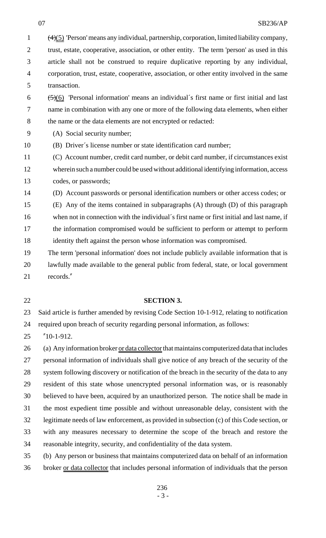(4)(5) 'Person' means any individual, partnership, corporation, limited liability company, 2 trust, estate, cooperative, association, or other entity. The term 'person' as used in this article shall not be construed to require duplicative reporting by any individual, corporation, trust, estate, cooperative, association, or other entity involved in the same transaction.

  $\left( \frac{5}{6} \right)$  'Personal information' means an individual's first name or first initial and last name in combination with any one or more of the following data elements, when either 8 the name or the data elements are not encrypted or redacted:

(A) Social security number;

(B) Driver´s license number or state identification card number;

 (C) Account number, credit card number, or debit card number, if circumstances exist wherein such a number could be used without additional identifying information, access codes, or passwords;

(D) Account passwords or personal identification numbers or other access codes; or

 (E) Any of the items contained in subparagraphs (A) through (D) of this paragraph when not in connection with the individual´s first name or first initial and last name, if the information compromised would be sufficient to perform or attempt to perform identity theft against the person whose information was compromised.

- The term 'personal information' does not include publicly available information that is lawfully made available to the general public from federal, state, or local government records."
- 

## **SECTION 3.**

 Said article is further amended by revising Code Section 10-1-912, relating to notification required upon breach of security regarding personal information, as follows:

"10-1-912.

26 (a) Any information broker or data collector that maintains computerized data that includes personal information of individuals shall give notice of any breach of the security of the 28 system following discovery or notification of the breach in the security of the data to any resident of this state whose unencrypted personal information was, or is reasonably believed to have been, acquired by an unauthorized person. The notice shall be made in the most expedient time possible and without unreasonable delay, consistent with the legitimate needs of law enforcement, as provided in subsection (c) of this Code section, or with any measures necessary to determine the scope of the breach and restore the reasonable integrity, security, and confidentiality of the data system. (b) Any person or business that maintains computerized data on behalf of an information

36 broker <u>or data collector</u> that includes personal information of individuals that the person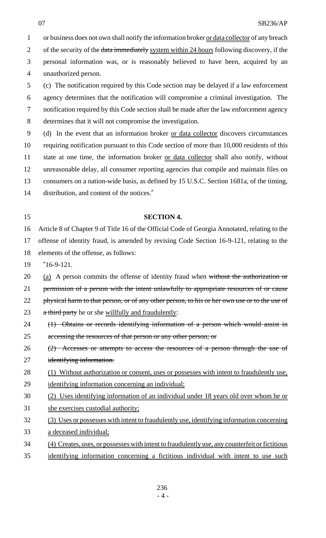1 or business does not own shall notify the information broker or data collector of any breach 2 of the security of the data immediately system within 24 hours following discovery, if the personal information was, or is reasonably believed to have been, acquired by an unauthorized person. (c) The notification required by this Code section may be delayed if a law enforcement

 agency determines that the notification will compromise a criminal investigation. The notification required by this Code section shall be made after the law enforcement agency determines that it will not compromise the investigation.

 (d) In the event that an information broker or data collector discovers circumstances requiring notification pursuant to this Code section of more than 10,000 residents of this state at one time, the information broker or data collector shall also notify, without unreasonable delay, all consumer reporting agencies that compile and maintain files on consumers on a nation-wide basis, as defined by 15 U.S.C. Section 1681a, of the timing, distribution, and content of the notices."

# **SECTION 4.**

 Article 8 of Chapter 9 of Title 16 of the Official Code of Georgia Annotated, relating to the offense of identity fraud, is amended by revising Code Section 16-9-121, relating to the elements of the offense, as follows:

"16-9-121.

 $20 \quad \text{(a)}$  A person commits the offense of identity fraud when without the authorization or

21 permission of a person with the intent unlawfully to appropriate resources of or cause

22 physical harm to that person, or of any other person, to his or her own use or to the use of

23 a third party he or she willfully and fraudulently:

- (1) Obtains or records identifying information of a person which would assist in 25 accessing the resources of that person or any other person; or
- (2) Accesses or attempts to access the resources of a person through the use of identifying information.
- 28 (1) Without authorization or consent, uses or possesses with intent to fraudulently use, identifying information concerning an individual;
- (2) Uses identifying information of an individual under 18 years old over whom he or
- she exercises custodial authority;
- (3) Uses or possesses with intent to fraudulently use, identifying information concerning a deceased individual;
- (4) Creates, uses, or possesses with intent to fraudulently use, any counterfeit or fictitious
- identifying information concerning a fictitious individual with intent to use such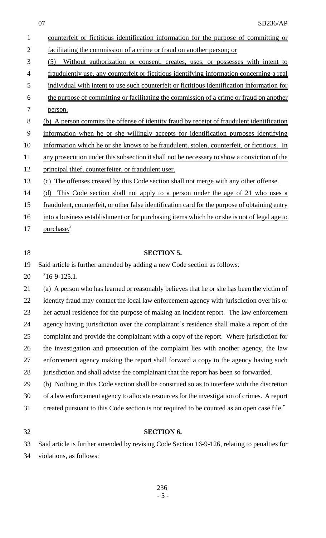| counterfeit or fictitious identification information for the purpose of committing or          |
|------------------------------------------------------------------------------------------------|
| facilitating the commission of a crime or fraud on another person; or                          |
| Without authorization or consent, creates, uses, or possesses with intent to<br>(5)            |
| fraudulently use, any counterfeit or fictitious identifying information concerning a real      |
| individual with intent to use such counterfeit or fictitious identification information for    |
| the purpose of committing or facilitating the commission of a crime or fraud on another        |
| person.                                                                                        |
| (b) A person commits the offense of identity fraud by receipt of fraudulent identification     |
| information when he or she willingly accepts for identification purposes identifying           |
| information which he or she knows to be fraudulent, stolen, counterfeit, or fictitious. In     |
| any prosecution under this subsection it shall not be necessary to show a conviction of the    |
| principal thief, counterfeiter, or fraudulent user.                                            |
| The offenses created by this Code section shall not merge with any other offense.<br>(c)       |
| This Code section shall not apply to a person under the age of 21 who uses a<br>(d)            |
| fraudulent, counterfeit, or other false identification card for the purpose of obtaining entry |
| into a business establishment or for purchasing items which he or she is not of legal age to   |
| purchase."                                                                                     |
|                                                                                                |
|                                                                                                |
| <b>SECTION 5.</b>                                                                              |
| Said article is further amended by adding a new Code section as follows:                       |
| $"16-9-125.1.$                                                                                 |
| (a) A person who has learned or reasonably believes that he or she has been the victim of      |
| identity fraud may contact the local law enforcement agency with jurisdiction over his or      |
| her actual residence for the purpose of making an incident report. The law enforcement         |
| agency having jurisdiction over the complainant's residence shall make a report of the         |
| complaint and provide the complainant with a copy of the report. Where jurisdiction for        |
| the investigation and prosecution of the complaint lies with another agency, the law           |
| enforcement agency making the report shall forward a copy to the agency having such            |
| jurisdiction and shall advise the complainant that the report has been so forwarded.           |
| (b) Nothing in this Code section shall be construed so as to interfere with the discretion     |
| of a law enforcement agency to allocate resources for the investigation of crimes. A report    |
| created pursuant to this Code section is not required to be counted as an open case file."     |
| <b>SECTION 6.</b>                                                                              |
|                                                                                                |

violations, as follows: